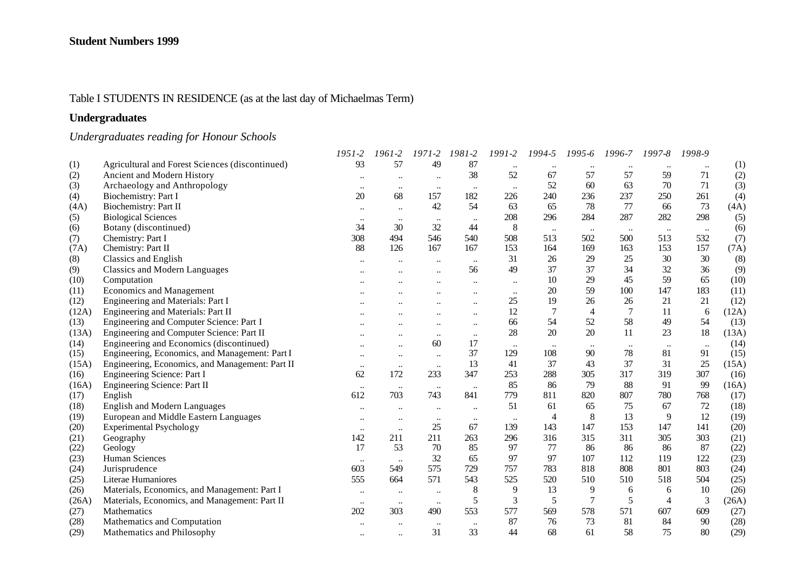## Table I STUDENTS IN RESIDENCE (as at the last day of Michaelmas Term)

## **Undergraduates**

# *Undergraduates reading for Honour Schools*

|       |                                                 | 1951-2    | 1961-2               | $1971 - 2$           | 1981-2    | 1991-2    | 1994-5         | 1995-6         | 1996-7   | 1997-8         | 1998-9    |       |
|-------|-------------------------------------------------|-----------|----------------------|----------------------|-----------|-----------|----------------|----------------|----------|----------------|-----------|-------|
| (1)   | Agricultural and Forest Sciences (discontinued) | 93        | 57                   | 49                   | 87        |           |                |                |          |                |           | (1)   |
| (2)   | Ancient and Modern History                      | $\cdots$  |                      | $\ddot{\phantom{a}}$ | 38        | 52        | 67             | 57             | 57       | 59             | 71        | (2)   |
| (3)   | Archaeology and Anthropology                    | $\ddotsc$ | $\ddotsc$            | $\ddotsc$            | $\ldots$  | $\ddotsc$ | 52             | 60             | 63       | 70             | 71        | (3)   |
| (4)   | Biochemistry: Part I                            | 20        | 68                   | 157                  | 182       | 226       | 240            | 236            | 237      | 250            | 261       | (4)   |
| (4A)  | Biochemistry: Part II                           | $\ddotsc$ | $\ddotsc$            | 42                   | 54        | 63        | 65             | 78             | 77       | 66             | 73        | (4A)  |
| (5)   | <b>Biological Sciences</b>                      | $\ddotsc$ | $\ddotsc$            | $\ddotsc$            | $\ddotsc$ | 208       | 296            | 284            | 287      | 282            | 298       | (5)   |
| (6)   | Botany (discontinued)                           | 34        | 30                   | 32                   | 44        | $\,8\,$   | $\ldots$       | $\ldots$       | $\ldots$ | $\ddotsc$      | $\ddots$  | (6)   |
| (7)   | Chemistry: Part I                               | 308       | 494                  | 546                  | 540       | 508       | 513            | 502            | 500      | 513            | 532       | (7)   |
| (7A)  | Chemistry: Part II                              | 88        | 126                  | 167                  | 167       | 153       | 164            | 169            | 163      | 153            | 157       | (7A)  |
| (8)   | <b>Classics and English</b>                     |           |                      |                      | $\ddotsc$ | 31        | 26             | 29             | 25       | 30             | 30        | (8)   |
| (9)   | <b>Classics and Modern Languages</b>            |           |                      |                      | 56        | 49        | 37             | 37             | 34       | 32             | 36        | (9)   |
| (10)  | Computation                                     |           |                      |                      | $\ddotsc$ | $\ddotsc$ | 10             | 29             | 45       | 59             | 65        | (10)  |
| (11)  | <b>Economics and Management</b>                 |           |                      |                      |           | $\ddotsc$ | 20             | 59             | 100      | 147            | 183       | (11)  |
| (12)  | Engineering and Materials: Part I               |           |                      |                      | $\ddotsc$ | 25        | 19             | 26             | 26       | 21             | 21        | (12)  |
| (12A) | Engineering and Materials: Part II              |           |                      |                      | $\ddotsc$ | 12        | $\overline{7}$ | $\overline{4}$ |          | 11             | 6         | (12A) |
| (13)  | Engineering and Computer Science: Part I        |           |                      |                      | $\ldots$  | 66        | 54             | 52             | 58       | 49             | 54        | (13)  |
| (13A) | Engineering and Computer Science: Part II       |           |                      | $\ddotsc$            | $\ddotsc$ | 28        | 20             | 20             | 11       | 23             | 18        | (13A) |
| (14)  | Engineering and Economics (discontinued)        |           | $\ddot{\phantom{a}}$ | 60                   | 17        | $\ldots$  | $\ldots$       |                |          | $\ddotsc$      | $\ddotsc$ | (14)  |
| (15)  | Engineering, Economics, and Management: Part I  | $\ddotsc$ | $\ddotsc$            | $\ddotsc$            | 37        | 129       | 108            | 90             | 78       | 81             | 91        | (15)  |
| (15A) | Engineering, Economics, and Management: Part II | $\ddotsc$ | $\ddotsc$            | $\ddotsc$            | 13        | 41        | 37             | 43             | 37       | 31             | 25        | (15A) |
| (16)  | Engineering Science: Part I                     | 62        | 172                  | 233                  | 347       | 253       | 288            | 305            | 317      | 319            | 307       | (16)  |
| (16A) | Engineering Science: Part II                    | $\ldots$  | $\ddotsc$            | $\ldots$             | $\ddotsc$ | 85        | 86             | 79             | 88       | 91             | 99        | (16A) |
| (17)  | English                                         | 612       | 703                  | 743                  | 841       | 779       | 811            | 820            | 807      | 780            | 768       | (17)  |
| (18)  | <b>English and Modern Languages</b>             | $\ddotsc$ | $\ddot{\phantom{a}}$ | $\ddotsc$            | $\ddotsc$ | 51        | 61             | 65             | 75       | 67             | 72        | (18)  |
| (19)  | European and Middle Eastern Languages           | $\cdots$  | $\ddotsc$            | $\ldots$             | $\ddotsc$ | $\cdots$  | 4              | 8              | 13       | 9              | 12        | (19)  |
| (20)  | Experimental Psychology                         | $\ddotsc$ | $\ddotsc$            | 25                   | 67        | 139       | 143            | 147            | 153      | 147            | 141       | (20)  |
| (21)  | Geography                                       | 142       | 211                  | 211                  | 263       | 296       | 316            | 315            | 311      | 305            | 303       | (21)  |
| (22)  | Geology                                         | 17        | 53                   | 70                   | 85        | 97        | 77             | 86             | 86       | 86             | 87        | (22)  |
| (23)  | Human Sciences                                  | $\cdots$  | $\ddotsc$            | 32                   | 65        | 97        | 97             | 107            | 112      | 119            | 122       | (23)  |
| (24)  | Jurisprudence                                   | 603       | 549                  | 575                  | 729       | 757       | 783            | 818            | 808      | 801            | 803       | (24)  |
| (25)  | Literae Humaniores                              | 555       | 664                  | 571                  | 543       | 525       | 520            | 510            | 510      | 518            | 504       | (25)  |
| (26)  | Materials, Economics, and Management: Part I    | $\ldots$  | $\ddotsc$            | $\ddotsc$            | 8         | 9         | 13             | 9              | 6        | 6              | 10        | (26)  |
| (26A) | Materials, Economics, and Management: Part II   | $\ldots$  | $\ldots$             | $\ddotsc$            | 5         | 3         | 5              | $\overline{7}$ | 5        | $\overline{4}$ | 3         | (26A) |
| (27)  | Mathematics                                     | 202       | 303                  | 490                  | 553       | 577       | 569            | 578            | 571      | 607            | 609       | (27)  |
| (28)  | Mathematics and Computation                     |           |                      |                      | $\ddotsc$ | 87        | 76             | 73             | 81       | 84             | 90        | (28)  |
| (29)  | Mathematics and Philosophy                      | $\ddotsc$ | $\ddot{\phantom{a}}$ | 31                   | 33        | 44        | 68             | 61             | 58       | 75             | 80        | (29)  |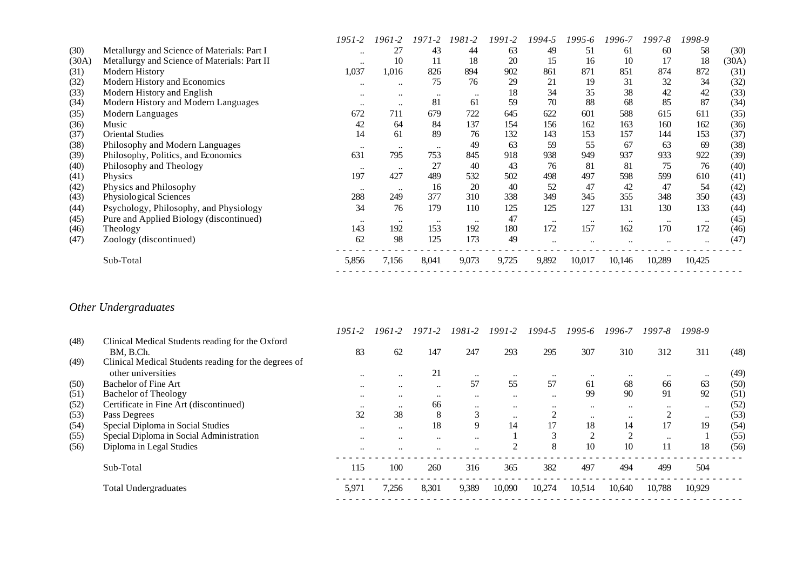|       |                                              | 1951-2    | 1961-2               | 1971-2    | 1981-2           | 1991-2 | 1994-5    | 1995-6    | 1996-7    | 1997-8           | 1998-9 |       |
|-------|----------------------------------------------|-----------|----------------------|-----------|------------------|--------|-----------|-----------|-----------|------------------|--------|-------|
| (30)  | Metallurgy and Science of Materials: Part I  | $\ddotsc$ | 27                   | 43        | 44               | 63     | 49        | 51        | 61        | 60               | 58     | (30)  |
| (30A) | Metallurgy and Science of Materials: Part II | $\ddotsc$ | 10                   | 11        | 18               | 20     | 15        | 16        | 10        | 17               | 18     | (30A) |
| (31)  | Modern History                               | 1,037     | 1,016                | 826       | 894              | 902    | 861       | 871       | 851       | 874              | 872    | (31)  |
| (32)  | Modern History and Economics                 | $\ddotsc$ | $\ddotsc$            | 75        | 76               | 29     | 21        | 19        | 31        | 32               | 34     | (32)  |
| (33)  | Modern History and English                   | $\ddotsc$ | $\ddot{\phantom{0}}$ | $\ddotsc$ |                  | 18     | 34        | 35        | 38        | 42               | 42     | (33)  |
| (34)  | Modern History and Modern Languages          | $\ddotsc$ | $\bullet\bullet$     | 81        | 61               | 59     | 70        | 88        | 68        | 85               | 87     | (34)  |
| (35)  | Modern Languages                             | 672       | 711                  | 679       | 722              | 645    | 622       | 601       | 588       | 615              | 611    | (35)  |
| (36)  | Music                                        | 42        | 64                   | 84        | 137              | 154    | 156       | 162       | 163       | 160              | 162    | (36)  |
| (37)  | <b>Oriental Studies</b>                      | 14        | 61                   | 89        | 76               | 132    | 143       | 153       | 157       | 144              | 153    | (37)  |
| (38)  | Philosophy and Modern Languages              | $\cdots$  | $\bullet\bullet$     | $\ddotsc$ | 49               | 63     | 59        | 55        | 67        | 63               | 69     | (38)  |
| (39)  | Philosophy, Politics, and Economics          | 631       | 795                  | 753       | 845              | 918    | 938       | 949       | 937       | 933              | 922    | (39)  |
| (40)  | Philosophy and Theology                      | $\ddotsc$ | $\bullet\bullet$     | 27        | 40               | 43     | 76        | 81        | 81        | 75               | 76     | (40)  |
| (41)  | <b>Physics</b>                               | 197       | 427                  | 489       | 532              | 502    | 498       | 497       | 598       | 599              | 610    | (41)  |
| (42)  | Physics and Philosophy                       | $\ddotsc$ | $\ddotsc$            | 16        | 20               | 40     | 52        | 47        | 42        | 47               | 54     | (42)  |
| (43)  | Physiological Sciences                       | 288       | 249                  | 377       | 310              | 338    | 349       | 345       | 355       | 348              | 350    | (43)  |
| (44)  | Psychology, Philosophy, and Physiology       | 34        | 76                   | 179       | 110              | 125    | 125       | 127       | 131       | 130              | 133    | (44)  |
| (45)  | Pure and Applied Biology (discontinued)      | $\ddotsc$ | $\bullet\bullet$     | $\ddotsc$ | $\bullet\bullet$ | 47     | $\ddotsc$ | $\ddotsc$ | $\ddotsc$ | $\bullet\bullet$ |        | (45)  |
| (46)  | Theology                                     | 143       | 192                  | 153       | 192              | 180    | 172       | 157       | 162       | 170              | 172    | (46)  |
| (47)  | Zoology (discontinued)                       | 62        | 98                   | 125       | 173              | 49     |           |           |           |                  |        | (47)  |
|       | Sub-Total                                    | 5,856     | 7,156                | 8,041     | 9,073            | 9,725  | 9,892     | 10,017    | 10,146    | 10,289           | 10,425 |       |
|       |                                              |           |                      |           |                  |        |           |           |           |                  |        |       |

# *Other Undergraduates*

|      |                                                      | $1951 - 2$ | 1961-2               | $1971 - 2$           | 1981-2               | $1991 - 2$     | 1994-5    | $1995 - 6$ | 1996-7    | 1997-8    | 1998-9    |      |
|------|------------------------------------------------------|------------|----------------------|----------------------|----------------------|----------------|-----------|------------|-----------|-----------|-----------|------|
| (48) | Clinical Medical Students reading for the Oxford     |            |                      |                      |                      |                |           |            |           |           |           |      |
|      | BM. B.Ch.                                            | 83         | 62                   | 147                  | 247                  | 293            | 295       | 307        | 310       | 312       | 311       | (48) |
| (49) | Clinical Medical Students reading for the degrees of |            |                      |                      |                      |                |           |            |           |           |           |      |
|      | other universities                                   | $\ddotsc$  | $\ddotsc$            | 21                   | $\ddotsc$            | $\ddotsc$      | $\ddotsc$ | $\ddotsc$  | $\ddotsc$ | $\ddotsc$ | $\ddotsc$ | (49) |
| (50) | Bachelor of Fine Art                                 | $\ddotsc$  | $\ddotsc$            | $\ddotsc$            | 57                   | 55             | 57        | 61         | 68        | 66        | 63        | (50) |
| (51) | <b>Bachelor of Theology</b>                          | $\ddotsc$  | $\ddot{\phantom{0}}$ | $\ddot{\phantom{0}}$ | $\ddotsc$            | $\ddotsc$      | $\ddotsc$ | 99         | 90        | 91        | 92        | (51) |
| (52) | Certificate in Fine Art (discontinued)               | $\ddotsc$  | $\ddotsc$            | 66                   | $\ddotsc$            | $\ddotsc$      | $\ddotsc$ | $\ddotsc$  | $\ddotsc$ | $\ddotsc$ | $\ddotsc$ | (52) |
| (53) | Pass Degrees                                         | 32         | 38                   | 8                    | 3                    | $\ddotsc$      | ◠         | $\ddotsc$  | $\ddotsc$ | ◠         | $\ddotsc$ | (53) |
| (54) | Special Diploma in Social Studies                    | $\ddotsc$  | $\ddotsc$            | 18                   | 9                    | 14             |           | 18         | 14        | 17        | 19        | (54) |
| (55) | Special Diploma in Social Administration             | $\ddotsc$  | $\ddotsc$            | $\ddotsc$            | $\ddotsc$            |                | 3         | 2          | 2         | $\ddotsc$ |           | (55) |
| (56) | Diploma in Legal Studies                             | $\ddotsc$  | $\ddot{\phantom{0}}$ | $\ddot{\phantom{0}}$ | $\ddot{\phantom{0}}$ | $\overline{2}$ | 8         | 10         | 10        | 11        | 18        | (56) |
|      | Sub-Total                                            | 115        | 100                  | 260                  | 316                  | 365            | 382       | 497        | 494       | 499       | 504       |      |
|      | <b>Total Undergraduates</b>                          | 5,971      | 7,256                | 8,301                | 9,389                | 10,090         | 10,274    | 10,514     | 10,640    | 10,788    | 10,929    |      |
|      |                                                      |            |                      |                      |                      |                |           |            |           |           |           |      |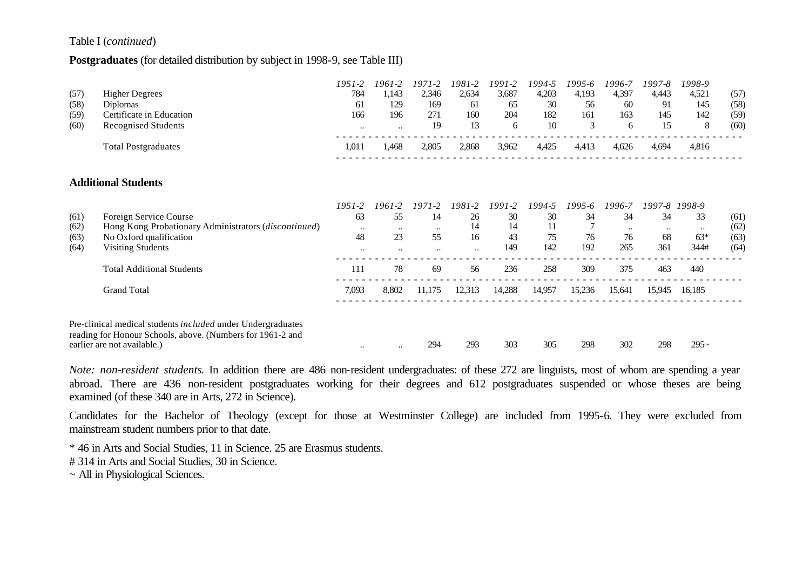#### Table I (*continued*)

#### **Postgraduates** (for detailed distribution by subject in 1998-9, see Table III)

|      |                                                                                                                           | 1951-2       | 1961-2           | 1971-2               | 1981-2    | 1991-2 | 1994-5 | 1995-6 | 1996-7    | 1997-8    | 1998-9 |      |
|------|---------------------------------------------------------------------------------------------------------------------------|--------------|------------------|----------------------|-----------|--------|--------|--------|-----------|-----------|--------|------|
| (57) | <b>Higher Degrees</b>                                                                                                     | 784          | 1,143            | 2,346                | 2,634     | 3,687  | 4,203  | 4,193  | 4,397     | 4,443     | 4,521  | (57) |
| (58) | <b>Diplomas</b>                                                                                                           | 61           | 129              | 169                  | 61        | 65     | 30     | 56     | 60        | 91        | 145    | (58) |
| (59) | Certificate in Education                                                                                                  | 166          | 196              | 271                  | 160       | 204    | 182    | 161    | 163       | 145       | 142    | (59) |
| (60) | <b>Recognised Students</b>                                                                                                | $\ddotsc$    | $\ddotsc$        | 19                   | 13        | 6      | 10     | 3      | 6         | 15        | 8      | (60) |
|      | <b>Total Postgraduates</b>                                                                                                | 1,011        | 1,468            | 2,805                | 2,868     | 3,962  | 4,425  | 4,413  | 4,626     | 4,694     | 4,816  |      |
|      | <b>Additional Students</b>                                                                                                |              |                  |                      |           |        |        |        |           |           |        |      |
|      |                                                                                                                           |              |                  |                      |           |        |        |        |           |           |        |      |
|      |                                                                                                                           | $1951 - 2$   | $1961 - 2$       | $1971 - 2$           | 1981-2    | 1991-2 | 1994-5 | 1995-6 | 1996-7    | 1997-8    | 1998-9 |      |
| (61) | Foreign Service Course                                                                                                    | 63           | 55               | 14                   | 26        | 30     | 30     | 34     | 34        | 34        | 33     | (61) |
| (62) | Hong Kong Probationary Administrators (discontinued)                                                                      | $\cdot\cdot$ | $\ddotsc$        | $\ddotsc$            | 14        | 14     | 11     |        | $\ddotsc$ | $\ddotsc$ |        | (62) |
| (63) | No Oxford qualification                                                                                                   | 48           | 23               | 55                   | 16        | 43     | 75     | 76     | 76        | 68        | $63*$  | (63) |
| (64) | Visiting Students                                                                                                         | $\ddotsc$    | $\ddotsc$        | $\ddot{\phantom{a}}$ | $\ddotsc$ | 149    | 142    | 192    | 265       | 361       | 344#   | (64) |
|      | <b>Total Additional Students</b>                                                                                          | 111          | 78               | 69                   | 56        | 236    | 258    | 309    | 375       | 463       | 440    |      |
|      | <b>Grand Total</b>                                                                                                        | 7,093        | 8,802            | 11,175               | 12,313    | 14,288 | 14,957 | 15,236 | 15,641    | 15,945    | 16,185 |      |
|      | Pre-clinical medical students included under Undergraduates<br>reading for Honour Schools, above. (Numbers for 1961-2 and |              |                  |                      |           |        |        |        |           |           |        |      |
|      | earlier are not available.)                                                                                               | $\ddotsc$    | $\bullet\bullet$ | 294                  | 293       | 303    | 305    | 298    | 302       | 298       | $295-$ |      |

*Note: non-resident students*. In addition there are 486 non-resident undergraduates: of these 272 are linguists, most of whom are spending a year abroad. There are 436 non-resident postgraduates working for their degrees and 612 postgraduates suspended or whose theses are being examined (of these 340 are in Arts, 272 in Science).

Candidates for the Bachelor of Theology (except for those at Westminster College) are included from 1995-6. They were excluded from mainstream student numbers prior to that date.

\* 46 in Arts and Social Studies, 11 in Science. 25 are Erasmus students.

# 314 in Arts and Social Studies, 30 in Science.

~ All in Physiological Sciences.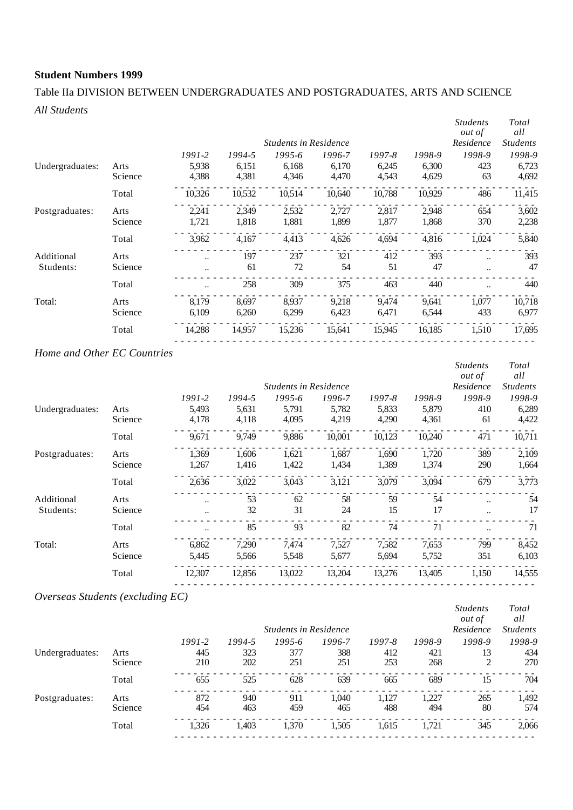## Table IIa DIVISION BETWEEN UNDERGRADUATES AND POSTGRADUATES, ARTS AND SCIENCE *All Students*

|                 |         |            |        |                              |        |        |        | <b>Students</b><br><i>out of</i> | Total<br>all    |
|-----------------|---------|------------|--------|------------------------------|--------|--------|--------|----------------------------------|-----------------|
|                 |         |            |        | <b>Students in Residence</b> |        |        |        | Residence                        | <b>Students</b> |
|                 |         | $1991 - 2$ | 1994-5 | 1995-6                       | 1996-7 | 1997-8 | 1998-9 | 1998-9                           | 1998-9          |
| Undergraduates: | Arts    | 5,938      | 6,151  | 6,168                        | 6,170  | 6,245  | 6,300  | 423                              | 6,723           |
|                 | Science | 4,388      | 4,381  | 4,346                        | 4,470  | 4,543  | 4,629  | 63                               | 4,692           |
|                 | Total   | 10,326     | 10,532 | 10,514                       | 10,640 | 10,788 | 10,929 | 486                              | 11,415          |
| Postgraduates:  | Arts    | 2,241      | 2,349  | 2,532                        | 2,727  | 2,817  | 2,948  | 654                              | 3,602           |
|                 | Science | 1,721      | 1,818  | 1,881                        | 1,899  | 1,877  | 1,868  | 370                              | 2,238           |
|                 | Total   | 3,962      | 4,167  | 4,413                        | 4,626  | 4,694  | 4,816  | 1,024                            | 5,840           |
| Additional      | Arts    | $\ddotsc$  | 197    | 237                          | 321    | 412    | 393    | $\ddot{\phantom{a}}$             | 393             |
| Students:       | Science | $\ddotsc$  | 61     | 72                           | 54     | 51     | 47     | $\ddot{\phantom{a}}$             | 47              |
|                 | Total   |            | 258    | 309                          | 375    | 463    | 440    |                                  | 440             |
| Total:          | Arts    | 8.179      | 8.697  | 8.937                        | 9,218  | 9.474  | 9,641  | 1.077                            | 10,718          |
|                 | Science | 6,109      | 6,260  | 6,299                        | 6,423  | 6,471  | 6,544  | 433                              | 6,977           |
|                 | Total   | 14,288     | 14,957 | 15,236                       | 15,641 | 15,945 | 16,185 | 1,510                            | 17,695          |
|                 |         |            |        |                              |        |        |        |                                  |                 |

### *Home and Other EC Countries*

|         |            |        |            |        |                              |        | <b>Students</b><br><i>out of</i> | Total<br>all    |
|---------|------------|--------|------------|--------|------------------------------|--------|----------------------------------|-----------------|
|         |            |        |            |        |                              |        | Residence                        | <b>Students</b> |
|         | $1991 - 2$ | 1994-5 | $1995 - 6$ | 1996-7 | 1997-8                       | 1998-9 | 1998-9                           | 1998-9          |
| Arts    | 5,493      | 5,631  | 5,791      | 5,782  | 5,833                        | 5,879  | 410                              | 6,289           |
| Science | 4,178      | 4,118  | 4,095      | 4,219  | 4,290                        | 4,361  | 61                               | 4,422           |
| Total   | 9,671      | 9,749  | 9,886      | 10,001 | 10,123                       | 10,240 | 471                              | 10,711          |
| Arts    | 1,369      | 1,606  | 1,621      | 1,687  | 1,690                        | 1,720  | 389                              | 2,109           |
| Science | 1,267      | 1,416  | 1,422      | 1,434  | 1,389                        | 1,374  | 290                              | 1,664           |
| Total   | 2,636      | 3,022  | 3,043      | 3,121  | 3,079                        | 3,094  | 679                              | 3,773           |
| Arts    |            | 53     | 62         | 58     | 59                           | 54     | $\ddotsc$                        | 54              |
| Science |            | 32     | 31         | 24     | 15                           | 17     | $\ddotsc$                        | 17              |
| Total   |            | 85     | 93         | 82     | 74                           | 71     |                                  | 71              |
| Arts    | 6.862      | 7,290  | 7.474      | 7,527  | 7,582                        | 7,653  | 799                              | 8,452           |
| Science | 5,445      | 5,566  | 5,548      | 5,677  | 5,694                        | 5,752  | 351                              | 6,103           |
| Total   | 12,307     | 12,856 | 13,022     | 13,204 | 13,276                       | 13,405 | 1,150                            | 14,555          |
|         |            |        |            |        | <b>Students in Residence</b> |        |                                  |                 |

## *Overseas Students (excluding EC)*

|                 |         |            |        | <b>Students in Residence</b> |        |            |        | <b>Students</b><br><i>out of</i><br>Residence | Total<br>all<br><b>Students</b> |
|-----------------|---------|------------|--------|------------------------------|--------|------------|--------|-----------------------------------------------|---------------------------------|
|                 |         | $1991 - 2$ | 1994-5 | $1995 - 6$                   | 1996-7 | $1997 - 8$ | 1998-9 | 1998-9                                        | 1998-9                          |
| Undergraduates: | Arts    | 445        | 323    | 377                          | 388    | 412        | 421    | 13                                            | 434                             |
|                 | Science | 210        | 202    | 251                          | 251    | 253        | 268    | 2                                             | 270                             |
|                 | Total   | 655        | 525    | 628                          | 639    | 665        | 689    | 15                                            | 704                             |
| Postgraduates:  | Arts    | 872        | 940    | 911                          | 1.040  | 1.127      | 1.227  | 265                                           | 1,492                           |
|                 | Science | 454        | 463    | 459                          | 465    | 488        | 494    | 80                                            | 574                             |
|                 | Total   | 1,326      | 1.403  | 1,370                        | 1,505  | 1,615      | 1.721  | 345                                           | 2,066                           |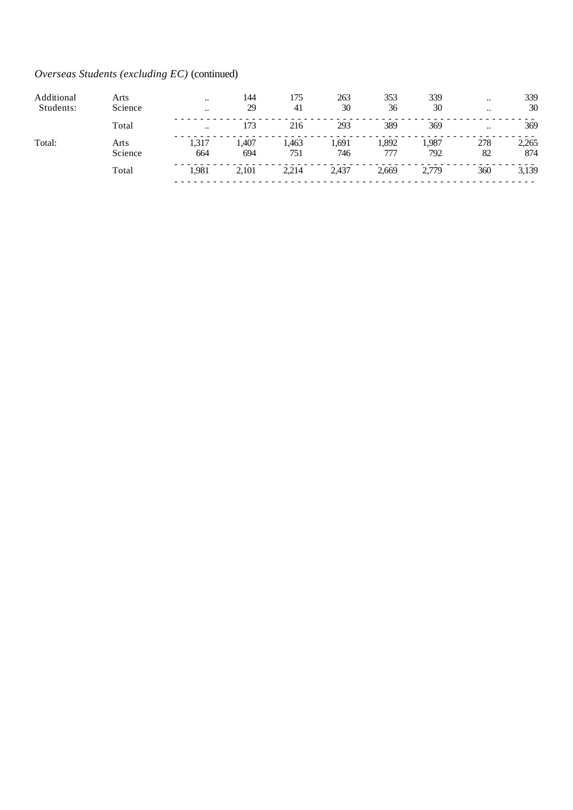## *Overseas Students (excluding EC)* (continued)

| Additional | Arts            | $\ddotsc$     | 144          | 175          | 263         | 353          | 339          | $\ddotsc$ | 339          |
|------------|-----------------|---------------|--------------|--------------|-------------|--------------|--------------|-----------|--------------|
| Students:  | Science         | $\cdot \cdot$ | 29           | 41           | 30          | 36           | 30           | $\ddotsc$ | 30           |
|            | Total           | $\ddotsc$     | 173          | 216          | 293         | 389          | 369          | $\ddotsc$ | 369          |
| Total:     | Arts<br>Science | 1,317<br>664  | l.407<br>694 | 1.463<br>751 | .691<br>746 | 1,892<br>777 | 1,987<br>792 | 278<br>82 | 2,265<br>874 |
|            | Total           | 1,981         | 2,101        | 2,214        | 2,437       | 2,669        | 2.779        | 360       | 3,139        |
|            |                 |               |              |              |             |              |              |           |              |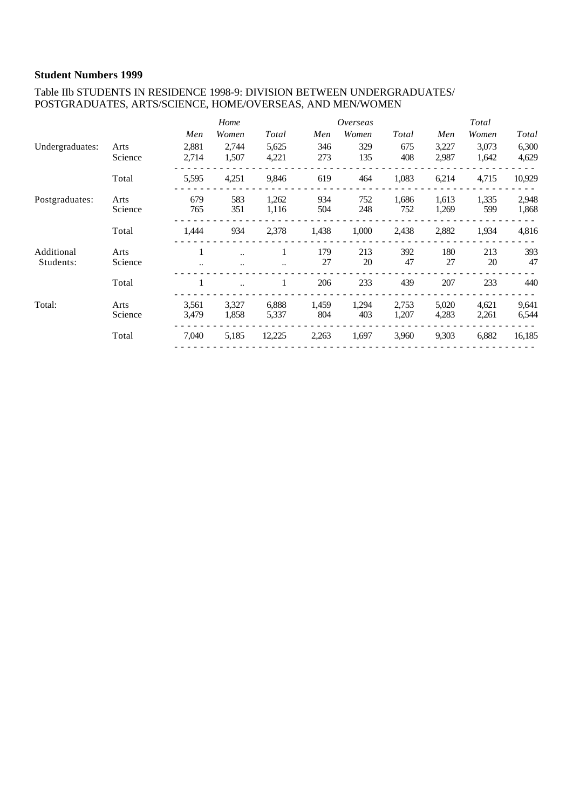#### Table IIb STUDENTS IN RESIDENCE 1998-9: DIVISION BETWEEN UNDERGRADUATES/ POSTGRADUATES, ARTS/SCIENCE, HOME/OVERSEAS, AND MEN/WOMEN

|                 |         |       | Home  |        |       | Overseas |       |       | Total |        |
|-----------------|---------|-------|-------|--------|-------|----------|-------|-------|-------|--------|
|                 |         | Men   | Women | Total  | Men   | Women    | Total | Men   | Women | Total  |
| Undergraduates: | Arts    | 2,881 | 2,744 | 5,625  | 346   | 329      | 675   | 3,227 | 3,073 | 6,300  |
|                 | Science | 2,714 | 1,507 | 4,221  | 273   | 135      | 408   | 2,987 | 1,642 | 4,629  |
|                 | Total   | 5,595 | 4,251 | 9,846  | 619   | 464      | 1,083 | 6,214 | 4,715 | 10,929 |
| Postgraduates:  | Arts    | 679   | 583   | 1,262  | 934   | 752      | 1,686 | 1,613 | 1,335 | 2,948  |
|                 | Science | 765   | 351   | 1,116  | 504   | 248      | 752   | 1,269 | 599   | 1,868  |
|                 | Total   | 1,444 | 934   | 2,378  | 1,438 | 1,000    | 2,438 | 2,882 | 1,934 | 4,816  |
| Additional      | Arts    |       |       |        | 179   | 213      | 392   | 180   | 213   | 393    |
| Students:       | Science |       |       |        | 27    | 20       | 47    | 27    | 20    | 47     |
|                 | Total   |       |       |        | 206   | 233      | 439   | 207   | 233   | 440    |
| Total:          | Arts    | 3,561 | 3,327 | 6,888  | 1,459 | 1,294    | 2,753 | 5,020 | 4,621 | 9,641  |
|                 | Science | 3,479 | 1,858 | 5,337  | 804   | 403      | 1,207 | 4,283 | 2,261 | 6,544  |
|                 | Total   | 7,040 | 5,185 | 12,225 | 2,263 | 1,697    | 3,960 | 9,303 | 6,882 | 16,185 |
|                 |         |       |       |        |       |          |       |       |       |        |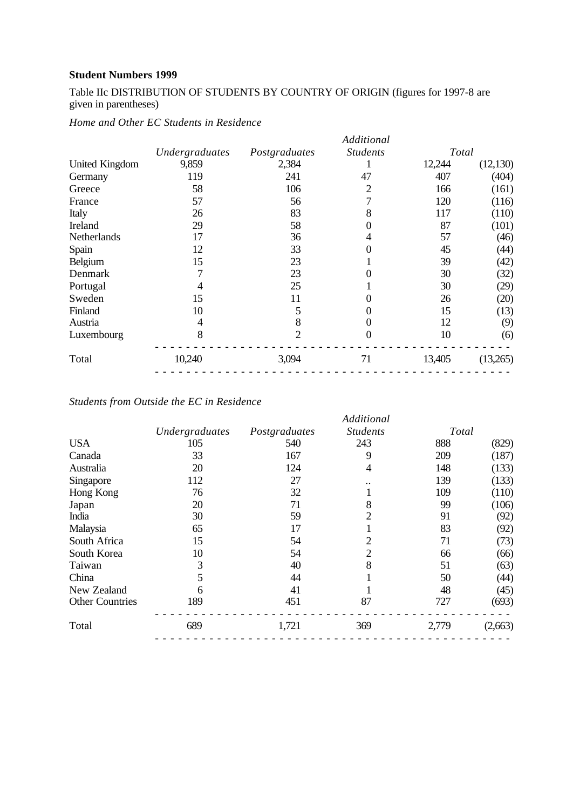Table IIc DISTRIBUTION OF STUDENTS BY COUNTRY OF ORIGIN (figures for 1997-8 are given in parentheses)

*Home and Other EC Students in Residence*

|                |                | Additional       |        |           |
|----------------|----------------|------------------|--------|-----------|
| Undergraduates | Postgraduates  | <b>Students</b>  | Total  |           |
| 9,859          | 2,384          |                  | 12,244 | (12, 130) |
| 119            | 241            | 47               | 407    | (404)     |
| 58             | 106            | 2                | 166    | (161)     |
| 57             | 56             |                  | 120    | (116)     |
| 26             | 83             | 8                | 117    | (110)     |
| 29             | 58             | 0                | 87     | (101)     |
| 17             | 36             | 4                | 57     | (46)      |
| 12             | 33             | 0                | 45     | (44)      |
| 15             | 23             |                  | 39     | (42)      |
|                | 23             |                  | 30     | (32)      |
| 4              | 25             |                  | 30     | (29)      |
| 15             | 11             |                  | 26     | (20)      |
| 10             | 5              | 0                | 15     | (13)      |
| 4              | 8              | $\boldsymbol{0}$ | 12     | (9)       |
| 8              | $\overline{2}$ | $\theta$         | 10     | (6)       |
| 10,240         | 3,094          | 71               | 13,405 | (13,265)  |
|                |                |                  |        |           |

## *Students from Outside the EC in Residence*

|     |                | Additional     |                 |         |
|-----|----------------|----------------|-----------------|---------|
|     |                |                |                 |         |
| 105 | 540            | 243            | 888             | (829)   |
| 33  | 167            | 9              | 209             | (187)   |
| 20  | 124            | 4              | 148             | (133)   |
| 112 | 27             |                | 139             | (133)   |
| 76  | 32             | ı              | 109             | (110)   |
| 20  | 71             | 8              | 99              | (106)   |
| 30  | 59             | $\overline{2}$ | 91              | (92)    |
| 65  | 17             |                | 83              | (92)    |
| 15  | 54             | 2              | 71              | (73)    |
| 10  | 54             | 2              | 66              | (66)    |
| 3   | 40             | 8              | 51              | (63)    |
| 5   | 44             |                | 50              | (44)    |
| 6   | 41             |                | 48              | (45)    |
| 189 | 451            | 87             | 727             | (693)   |
| 689 | 1,721          | 369            | 2,779           | (2,663) |
|     | Undergraduates | Postgraduates  | <b>Students</b> | Total   |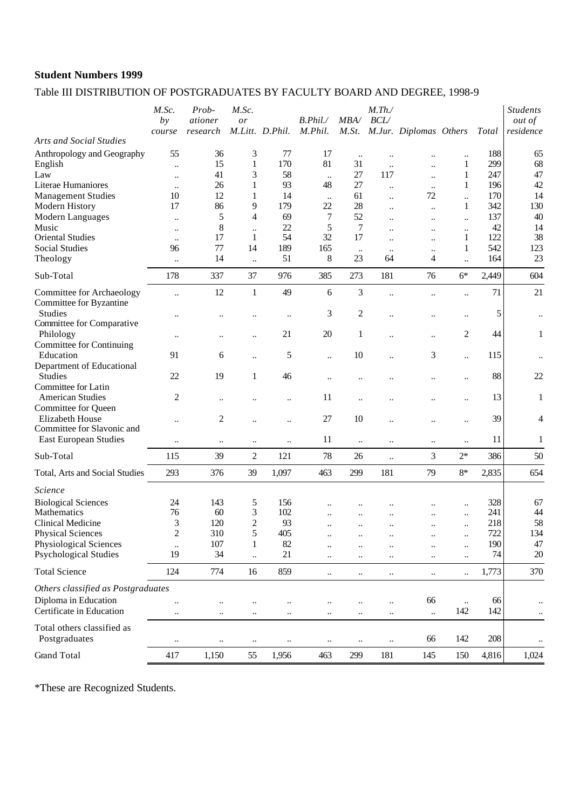## Table III DISTRIBUTION OF POSTGRADUATES BY FACULTY BOARD AND DEGREE, 1998-9

|                                                      | M.Sc.<br>by                       | Prob-<br>ationer<br>research | M.Sc.<br>or          | M.Litt. D.Phil.      | B. Phil.<br>M. Phil. | MBA/                 | $M$ .Th./<br>BCL/           | M.St. M.Jur. Diplomas Others                 |                      | Total      | <b>Students</b><br><i>out of</i><br>residence |
|------------------------------------------------------|-----------------------------------|------------------------------|----------------------|----------------------|----------------------|----------------------|-----------------------------|----------------------------------------------|----------------------|------------|-----------------------------------------------|
| <b>Arts and Social Studies</b>                       | course                            |                              |                      |                      |                      |                      |                             |                                              |                      |            |                                               |
| Anthropology and Geography                           | 55                                | 36<br>15                     | 3<br>1               | 77<br>170            | 17<br>81             | $\ddotsc$<br>31      | $\ddotsc$                   |                                              |                      | 188<br>299 | 65<br>68                                      |
| English<br>Law                                       | $\ddotsc$                         | 41                           | 3                    | 58                   |                      | 27                   | $\ddot{\phantom{a}}$<br>117 | $\ddot{\phantom{a}}$                         | 1<br>1               | 247        | 47                                            |
| Literae Humaniores                                   | $\ddot{\phantom{0}}$<br>$\ddotsc$ | 26                           | 1                    | 93                   | $\ddotsc$<br>48      | 27                   | $\ddot{\phantom{a}}$        | $\ddot{\phantom{0}}$<br>$\ddot{\phantom{a}}$ | 1                    | 196        | 42                                            |
| <b>Management Studies</b>                            | 10                                | 12                           | 1                    | 14                   | $\ddotsc$            | 61                   | $\ldots$                    | 72                                           | $\ddot{\phantom{a}}$ | 170        | 14                                            |
| Modern History                                       | 17                                | 86                           | 9                    | 179                  | 22                   | 28                   | $\ddotsc$                   | $\ddot{\phantom{a}}$                         | 1                    | 342        | 130                                           |
| Modern Languages                                     | $\ddotsc$                         | 5                            | 4                    | 69                   | 7                    | 52                   | $\ddotsc$                   | $\ddotsc$                                    | $\ddot{\phantom{a}}$ | 137        | 40                                            |
| Music                                                | $\ddotsc$                         | 8                            | $\ddotsc$            | 22                   | 5                    | $\tau$               |                             |                                              | $\ddot{\phantom{a}}$ | 42         | 14                                            |
| <b>Oriental Studies</b>                              | $\ddot{\phantom{a}}$              | 17                           | $\mathbf{1}$         | 54                   | 32                   | 17                   | $\ddotsc$                   |                                              | 1                    | 122        | 38                                            |
| <b>Social Studies</b>                                | 96                                | 77                           | 14                   | 189                  | 165                  | $\ddotsc$            | $\ddotsc$                   | $\ddotsc$                                    | 1                    | 542        | 123                                           |
| Theology                                             | $\ddot{\phantom{a}}$              | 14                           | $\ddotsc$            | 51                   | 8                    | 23                   | 64                          | 4                                            | $\ddot{\phantom{a}}$ | 164        | 23                                            |
| Sub-Total                                            | 178                               | 337                          | 37                   | 976                  | 385                  | 273                  | 181                         | 76                                           | $6*$                 | 2,449      | 604                                           |
| Committee for Archaeology<br>Committee for Byzantine | $\ddot{\phantom{0}}$              | 12                           | $\mathbf{1}$         | 49                   | 6                    | 3                    | $\ddot{\phantom{0}}$        |                                              | $\ddot{\phantom{a}}$ | 71         | 21                                            |
| <b>Studies</b><br>Committee for Comparative          |                                   |                              |                      | $\ddotsc$            | 3                    | 2                    |                             |                                              | $\ddot{\phantom{a}}$ | 5          | $\ddotsc$                                     |
| Philology<br><b>Committee for Continuing</b>         |                                   |                              | $\ddotsc$            | 21                   | 20                   | 1                    |                             |                                              | 2                    | 44         | $\mathbf{1}$                                  |
| Education                                            | 91                                | 6                            | $\ddot{\phantom{0}}$ | 5                    | $\ddot{\phantom{a}}$ | $10\,$               | $\ddot{\phantom{a}}$        | 3                                            | $\ddot{\phantom{a}}$ | 115        |                                               |
| Department of Educational<br><b>Studies</b>          | 22                                | 19                           | $\mathbf{1}$         | 46                   | $\ddot{\phantom{a}}$ |                      |                             |                                              | $\ddot{\phantom{a}}$ | 88         | 22                                            |
| Committee for Latin<br><b>American Studies</b>       | 2                                 | $\ddot{\phantom{0}}$         |                      | $\ddot{\phantom{a}}$ | 11                   | $\ddot{\phantom{a}}$ |                             |                                              | $\ddot{\phantom{a}}$ | 13         | $\mathbf{1}$                                  |
| Committee for Queen<br>Elizabeth House               | $\ddot{\phantom{a}}$              | $\overline{c}$               | $\ddot{\phantom{a}}$ | $\ddot{\phantom{a}}$ | 27                   | 10                   |                             |                                              | $\ddot{\phantom{0}}$ | 39         | 4                                             |
| Committee for Slavonic and                           |                                   |                              |                      |                      |                      |                      |                             |                                              |                      |            |                                               |
| <b>East European Studies</b>                         | $\ddot{\phantom{0}}$              | $\ddotsc$                    | $\ddotsc$            | $\ldots$             | 11                   | $\ddotsc$            | $\ddotsc$                   | $\ddotsc$                                    | $\ddot{\phantom{a}}$ | 11         | 1                                             |
| Sub-Total                                            | 115                               | 39                           | $\mathfrak{2}$       | 121                  | 78                   | 26                   | $\ddot{\phantom{a}}$        | 3                                            | $2*$                 | 386        | 50                                            |
| Total, Arts and Social Studies                       | 293                               | 376                          | 39                   | 1,097                | 463                  | 299                  | 181                         | 79                                           | $8*$                 | 2,835      | 654                                           |
| Science                                              |                                   |                              |                      |                      |                      |                      |                             |                                              |                      |            |                                               |
| <b>Biological Sciences</b>                           | 24                                | 143                          | 5                    | 156                  |                      |                      |                             |                                              | $\ddot{\phantom{a}}$ | 328        | 67                                            |
| Mathematics                                          | 76                                | 60                           | 3                    | 102                  |                      |                      | $\ddotsc$                   |                                              | $\ddot{\phantom{0}}$ | 241        | 44                                            |
| Clinical Medicine                                    | 3                                 | 120                          | 2                    | 93                   |                      | $\ddot{\phantom{a}}$ | $\ddotsc$                   |                                              | $\ddotsc$            | 218        | 58                                            |
| <b>Physical Sciences</b>                             | $\boldsymbol{2}$                  | 310                          | 5                    | 405                  |                      |                      |                             |                                              | $\ddotsc$            | 722        | 134                                           |
| Physiological Sciences                               | $\ddotsc$                         | 107                          | $\mathbf{1}$         | 82                   |                      |                      |                             |                                              | $\ddot{\phantom{0}}$ | 190        | 47                                            |
| <b>Psychological Studies</b>                         | 19                                | 34                           | $\ddot{\phantom{a}}$ | 21                   | $\ddot{\phantom{a}}$ |                      |                             |                                              | $\ddot{\phantom{a}}$ | 74         | 20                                            |
| <b>Total Science</b>                                 | 124                               | 774                          | 16                   | 859                  | $\ddot{\phantom{a}}$ | $\ddotsc$            | $\ldots$                    | $\ddotsc$                                    | $\ddot{\phantom{a}}$ | 1,773      | 370                                           |
| Others classified as Postgraduates                   |                                   |                              |                      |                      |                      |                      |                             |                                              |                      |            |                                               |
| Diploma in Education                                 | $\ddot{\phantom{0}}$              |                              |                      |                      | $\ddot{\phantom{a}}$ | $\ddotsc$            | $\ddotsc$                   | 66                                           | $\ddotsc$            | 66         |                                               |
| Certificate in Education                             | $\ddotsc$                         | $\ddotsc$                    | $\ddotsc$            | $\ddotsc$            | $\ddotsc$            | $\ddotsc$            | $\ddotsc$                   | $\ddotsc$                                    | 142                  | 142        | $\ddotsc$                                     |
| Total others classified as<br>Postgraduates          | $\ddotsc$                         | $\ddotsc$                    | $\ddotsc$            | $\ddotsc$            | $\ddotsc$            | $\ldots$             | $\ddotsc$                   | 66                                           | 142                  | 208        | $\ddotsc$                                     |
| Grand Total                                          | 417                               | 1,150                        | 55                   | 1,956                | 463                  | 299                  | 181                         | 145                                          | 150                  | 4,816      | 1,024                                         |
|                                                      |                                   |                              |                      |                      |                      |                      |                             |                                              |                      |            |                                               |

\*These are Recognized Students.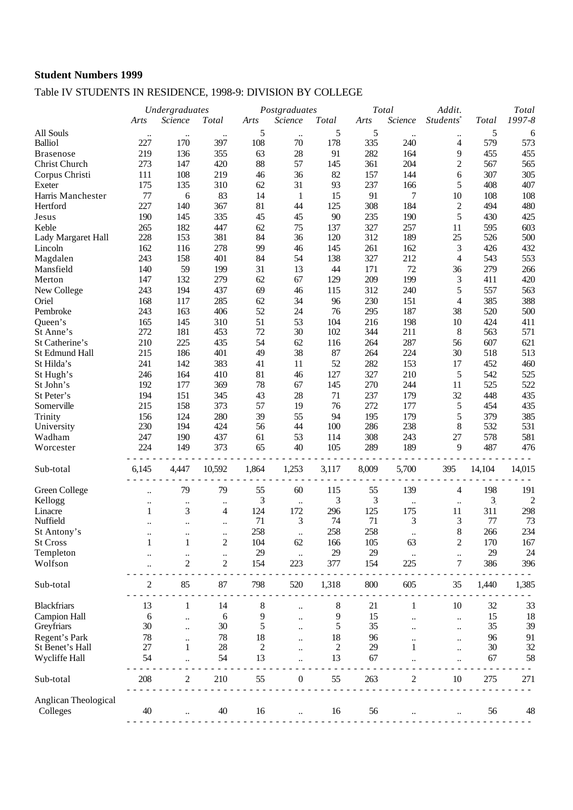## Table IV STUDENTS IN RESIDENCE, 1998-9: DIVISION BY COLLEGE

|                                  |                      | Undergraduates       |                      | Postgraduates |                      |       | Total | Addit.         |                         | Total          |                |
|----------------------------------|----------------------|----------------------|----------------------|---------------|----------------------|-------|-------|----------------|-------------------------|----------------|----------------|
|                                  | Arts                 | Science              | Total                | Arts          | Science              | Total | Arts  | Science        | Students <sup>*</sup>   | Total          | 1997-8         |
| All Souls                        | $\ddotsc$            | $\ddotsc$            | $\ddot{\phantom{0}}$ | 5             | $\ldots$             | 5     | 5     | $\ddotsc$      | $\ddotsc$               | 5              | 6              |
| <b>Balliol</b>                   | 227                  | 170                  | 397                  | 108           | 70                   | 178   | 335   | 240            | 4                       | 579            | 573            |
| <b>Brasenose</b>                 | 219                  | 136                  | 355                  | 63            | 28                   | 91    | 282   | 164            | 9                       | 455            | 455            |
| Christ Church                    | 273                  | 147                  | 420                  | 88            | 57                   | 145   | 361   | 204            | $\overline{c}$          | 567            | 565            |
| Corpus Christi                   | 111                  | 108                  | 219                  | 46            | 36                   | 82    | 157   | 144            | 6                       | 307            | 305            |
| Exeter                           | 175                  | 135                  | 310                  | 62            | 31                   | 93    | 237   | 166            | 5                       | 408            | 407            |
| Harris Manchester                | 77                   | 6                    | 83                   | 14            | $\mathbf{1}$         | 15    | 91    | 7              | 10                      | 108            | 108            |
| Hertford                         | 227                  | 140                  | 367                  | 81            | 44                   | 125   | 308   | 184            | $\overline{c}$          | 494            | 480            |
| Jesus                            | 190                  | 145                  | 335                  | 45            | 45                   | 90    | 235   | 190            | 5                       | 430            | 425            |
| Keble                            | 265                  | 182                  | 447                  | 62            | 75                   | 137   | 327   | 257            | 11                      | 595            | 603            |
| Lady Margaret Hall               | 228                  | 153                  | 381                  | 84            | 36                   | 120   | 312   | 189            | 25                      | 526            | 500            |
| Lincoln                          | 162                  | 116                  | 278                  | 99            | 46                   | 145   | 261   | 162            | 3                       | 426            | 432            |
| Magdalen                         | 243                  | 158                  | 401                  | 84            | 54                   | 138   | 327   | 212            | $\overline{4}$          | 543            | 553            |
| Mansfield                        | 140                  | 59                   | 199                  | 31            | 13                   | 44    | 171   | 72             | 36                      | 279            | 266            |
| Merton                           | 147                  | 132                  | 279                  | 62            | 67                   | 129   | 209   | 199            | 3                       | 411            | 420            |
| New College                      | 243                  | 194                  | 437                  | 69            | 46                   | 115   | 312   | 240            | 5                       | 557            | 563            |
| Oriel                            | 168                  | 117                  | 285                  | 62            | 34                   | 96    | 230   | 151            | 4                       | 385            | 388            |
| Pembroke                         | 243                  | 163                  | 406                  | 52            | 24                   | 76    | 295   | 187            | 38                      | 520            | 500            |
| Queen's                          | 165                  | 145                  | 310                  | 51            | 53                   | 104   | 216   | 198            | 10                      | 424            | 411            |
| St Anne's                        | 272                  | 181                  | 453                  | 72            | 30                   | 102   | 344   | 211            | 8                       | 563            | 571            |
| St Catherine's                   | 210                  | 225                  | 435                  | 54            | 62                   | 116   | 264   | 287            | 56                      | 607            | 621            |
| St Edmund Hall                   | 215                  | 186                  | 401                  | 49            | 38                   | 87    | 264   | 224            | 30                      | 518            | 513            |
| St Hilda's                       | 241                  | 142                  | 383                  | 41            | 11                   | 52    | 282   | 153            | 17                      | 452            | 460            |
| St Hugh's                        | 246                  | 164                  | 410                  | 81            | 46                   | 127   | 327   | 210            | 5                       | 542            | 525            |
| St John's                        | 192                  | 177                  | 369                  | 78            | 67                   | 145   | 270   | 244            | 11                      | 525            | 522            |
| St Peter's                       | 194                  | 151                  | 345                  | 43            | 28                   | 71    | 237   | 179            | 32                      | 448            | 435            |
| Somerville                       | 215                  | 158                  | 373                  | 57            | 19                   | 76    | 272   | 177            | 5                       | 454            | 435            |
| Trinity                          | 156                  | 124                  | 280                  | 39            | 55                   | 94    | 195   | 179            | 5                       | 379            | 385            |
| University                       | 230                  | 194                  | 424                  | 56            | 44                   | 100   | 286   | 238            | 8                       | 532            | 531            |
| Wadham                           | 247                  | 190                  | 437                  | 61            | 53                   | 114   | 308   | 243            | 27                      | 578            | 581            |
| Worcester                        | 224                  | 149                  | 373                  | 65            | 40                   | 105   | 289   | 189            | 9                       | 487            | 476            |
|                                  |                      |                      |                      |               |                      |       |       |                |                         |                |                |
| Sub-total                        | 6,145                | 4,447                | 10,592               | 1,864         | 1,253                | 3,117 | 8,009 | 5,700          | 395                     | 14,104         | 14,015         |
| Green College                    | $\ddot{\phantom{0}}$ | 79                   | 79                   | 55            | 60                   | 115   | 55    | 139            | 4                       | 198            | 191            |
| Kellogg                          |                      | $\ddotsc$            | $\ddotsc$            | 3             | $\ddotsc$            | 3     | 3     | $\ddotsc$      | $\ddotsc$               | 3 <sub>l</sub> | $\overline{c}$ |
| Linacre                          | 1                    | 3                    | $\overline{4}$       | 124           | 172                  | 296   | 125   | 175            | 11                      | 311            | 298            |
| Nuffield                         | $\ddot{\phantom{0}}$ | $\ddotsc$            | $\ddotsc$            | 71            | 3                    | 74    | 71    | 3              | 3                       | 77             | 73             |
| St Antony's                      |                      |                      |                      | 258           |                      | 258   | 258   |                | 8                       | 266            | 234            |
| <b>St Cross</b>                  | 1                    | 1                    | $\overline{c}$       | 104           | 62                   | 166   | 105   | 63             | $\overline{\mathbf{c}}$ | 170            | 167            |
| Templeton                        |                      | $\ddotsc$            | $\ddot{\phantom{0}}$ | 29            | $\ddot{\phantom{1}}$ | 29    | 29    | $\ddotsc$      | $\ddotsc$               | 29             | 24             |
| Wolfson                          |                      | $\overline{c}$       | $\boldsymbol{2}$     | 154           | 223                  | 377   | 154   | 225            | 7                       | 386            | 396            |
|                                  |                      |                      |                      |               |                      |       |       |                |                         |                |                |
| Sub-total                        | 2                    | 85                   | 87                   | 798           | 520                  | 1,318 | 800   | 605            | 35                      | 1,440          | 1,385          |
| <b>Blackfriars</b>               | 13                   | 1                    | 14                   | 8             |                      | 8     | 21    | 1              | 10                      | 32             | 33             |
| <b>Campion Hall</b>              | 6                    |                      | 6                    | 9             |                      | 9     | 15    |                | $\ddot{\phantom{0}}$    | 15             | 18             |
| Greyfriars                       | 30                   | $\ddot{\phantom{0}}$ | 30                   | 5             |                      | 5     | 35    |                | $\ddot{\phantom{0}}$    | 35             | 39             |
| Regent's Park                    | 78                   | $\ddot{\phantom{0}}$ | 78                   | 18            |                      | 18    | 96    |                | $\ddot{\phantom{a}}$    | 96             | 91             |
| St Benet's Hall                  | 27                   | 1                    | 28                   | 2             |                      | 2     | 29    | 1              | $\ddot{\phantom{a}}$    | 30             | 32             |
| Wycliffe Hall                    | 54                   |                      | 54                   | 13            |                      | 13    | 67    |                |                         | 67             | 58             |
| Sub-total                        | 208                  | 2                    | 210                  | 55            | $\boldsymbol{0}$     | 55    | 263   | $\overline{c}$ | $10\,$                  | 275            | 271            |
|                                  |                      |                      |                      |               |                      |       |       |                |                         |                |                |
| Anglican Theological<br>Colleges | 40                   |                      | 40                   | 16            |                      | 16    | 56    |                |                         | 56             | 48             |
|                                  |                      |                      |                      |               |                      |       |       |                |                         |                |                |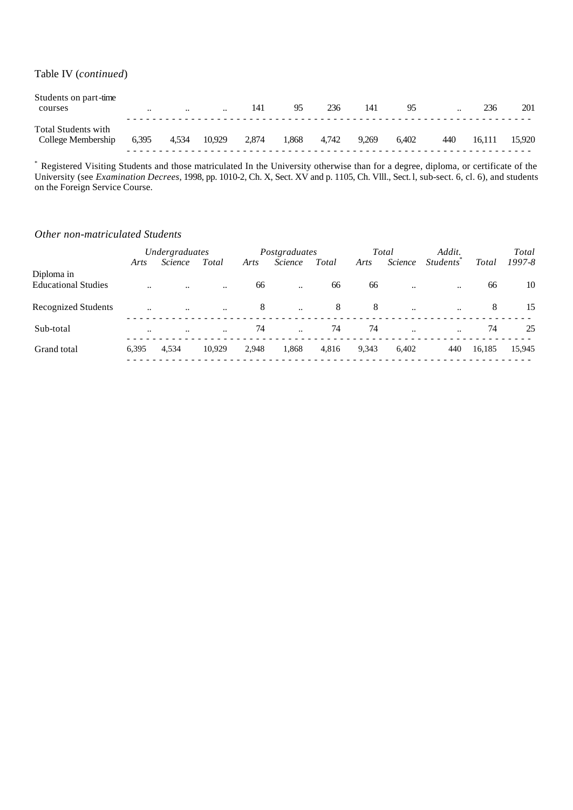#### Table IV (*continued*)

| Students on part-time<br>courses          | $\ddotsc$ | $\cdot$ | $\ddotsc$ | 141   | 95    | 236   | 141   | 95    | $\ddotsc$ | 236    | 201    |
|-------------------------------------------|-----------|---------|-----------|-------|-------|-------|-------|-------|-----------|--------|--------|
| Total Students with<br>College Membership | 6,395     | 4,534   | 10.929    | 2,874 | 1.868 | 4.742 | 9.269 | 6.402 | 440       | 16.111 | 15.920 |

\* Registered Visiting Students and those matriculated In the University otherwise than for a degree, diploma, or certificate of the University (see *Examination Decrees*, 1998, pp. 1010-2, Ch. X, Sect. XV and p. 1105, Ch. Vlll., Sect. l, sub-sect. 6, cl. 6), and students on the Foreign Service Course.

#### *Other non-matriculated Students*

|                            | Undergraduates       |                |           |       | Postgraduates |       |       | Total     | Addit.                       |        | Total      |
|----------------------------|----------------------|----------------|-----------|-------|---------------|-------|-------|-----------|------------------------------|--------|------------|
|                            | Arts                 | <i>Science</i> | Total     | Arts  | Science       | Total | Arts  | Science   | <i>Students</i> <sup>*</sup> | Total  | $1997 - 8$ |
| Diploma in                 |                      |                |           |       |               |       |       |           |                              |        |            |
| <b>Educational Studies</b> | $\ddotsc$            | $\ddotsc$      | $\ddotsc$ | 66    | $\ddotsc$     | 66    | 66    | $\ddotsc$ | $\ddotsc$                    | 66     | 10         |
| <b>Recognized Students</b> | $\ddot{\phantom{a}}$ | $\ddotsc$      | $\ddotsc$ | 8     | $\ddotsc$     | 8     | 8     | $\ddotsc$ | $\ddotsc$                    | 8      | 15         |
| Sub-total                  | $\ddotsc$            | $\ddotsc$      | $\ddotsc$ | 74    | $\ddotsc$     | 74    | 74    | $\ddotsc$ | $\ddotsc$                    | 74     | 25         |
| Grand total                | 6,395                | 4.534          | 10.929    | 2,948 | 1,868         | 4,816 | 9,343 | 6,402     | 440                          | 16,185 | 15,945     |
|                            |                      |                |           |       |               |       |       |           |                              |        |            |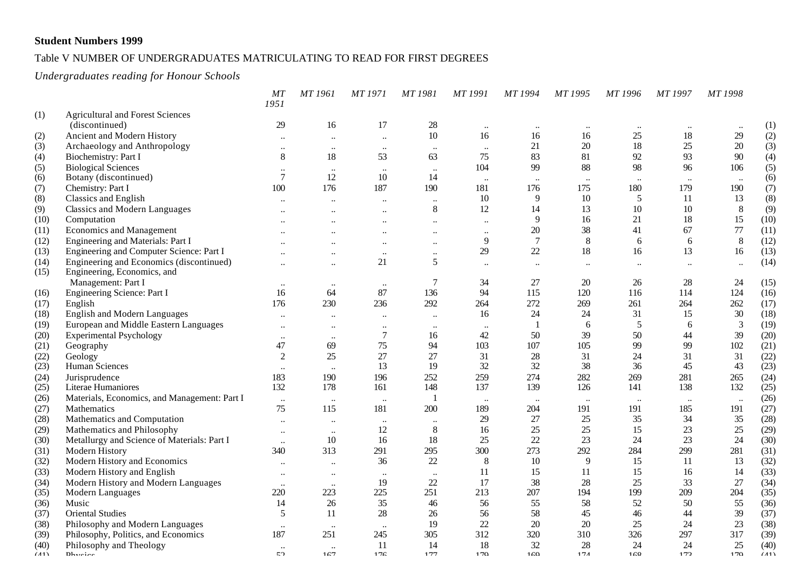#### Table V NUMBER OF UNDERGRADUATES MATRICULATING TO READ FOR FIRST DEGREES

#### *Undergraduates reading for Honour Schools*

|              |                                              | MT<br>1951                      | MT 1961               | MT 1971                         | MT 1981         | MT 1991                   | MT 1994        | MT 1995   | MT 1996   | MT 1997   | MT 1998   |      |
|--------------|----------------------------------------------|---------------------------------|-----------------------|---------------------------------|-----------------|---------------------------|----------------|-----------|-----------|-----------|-----------|------|
| (1)          | <b>Agricultural and Forest Sciences</b>      |                                 |                       |                                 |                 |                           |                |           |           |           |           |      |
|              | (discontinued)                               | 29                              | 16                    | 17                              | $28\,$          | $\ddotsc$                 | $\ldots$       | $\ddotsc$ | $\ddotsc$ | $\ddotsc$ |           | (1)  |
| (2)          | Ancient and Modern History                   | $\ddot{\phantom{a}}$            | $\ddotsc$             | $\ddot{\phantom{a}}$            | $10\,$          | 16                        | 16             | 16        | 25        | 18        | 29        | (2)  |
| (3)          | Archaeology and Anthropology                 | $\ddotsc$                       | $\ldots$              | $\ddotsc$                       | $\ldots$        | $\ddotsc$                 | 21             | 20        | 18        | 25        | $20\,$    | (3)  |
| (4)          | Biochemistry: Part I                         | 8                               | 18                    | 53                              | 63              | 75                        | 83             | 81        | 92        | 93        | 90        | (4)  |
| (5)          | <b>Biological Sciences</b>                   | $\ddotsc$                       | $\ddotsc$             | $\ddotsc$                       | $\ldots$        | 104                       | 99             | 88        | 98        | 96        | 106       | (5)  |
| (6)          | Botany (discontinued)                        | $\overline{7}$                  | 12                    | 10                              | 14              | $\ldots$                  | $\ddots$       | $\ldots$  | $\ldots$  | $\ddotsc$ | $\ldots$  | (6)  |
| (7)          | Chemistry: Part I                            | 100                             | 176                   | 187                             | 190             | 181                       | 176            | 175       | 180       | 179       | 190       | (7)  |
| (8)          | Classics and English                         | $\ddotsc$                       | $\ddotsc$             | $\ddotsc$                       | $\ddotsc$       | 10                        | 9              | 10        | 5         | 11        | 13        | (8)  |
| (9)          | <b>Classics and Modern Languages</b>         | $\ddotsc$                       | $\ddotsc$             | $\ddotsc$                       | 8               | 12                        | 14             | 13        | 10        | 10        | 8         | (9)  |
| (10)         | Computation                                  |                                 | $\ddot{\phantom{a}}$  | $\ddot{\phantom{a}}$            | $\ddotsc$       | $\ddotsc$                 | 9              | 16        | 21        | 18        | 15        | (10) |
| (11)         | <b>Economics and Management</b>              | $\ddotsc$                       | $\ddotsc$             | $\ddotsc$                       | $\ddotsc$       | $\ddot{\phantom{0}}\cdot$ | 20             | 38        | 41        | 67        | 77        | (11) |
| (12)         | Engineering and Materials: Part I            | $\ddotsc$                       | $\ddotsc$             | $\ddotsc$                       | $\ddotsc$       | 9                         | $\overline{7}$ | 8         | 6         | 6         | 8         | (12) |
| (13)         | Engineering and Computer Science: Part I     |                                 | $\ddot{\phantom{a}}$  | $\ddot{\phantom{0}}\cdot$       | $\ddotsc$       | 29                        | 22             | 18        | 16        | 13        | 16        | (13) |
| (14)         | Engineering and Economics (discontinued)     | $\ddotsc$                       | $\ldots$              | 21                              | 5               | $\ddotsc$                 | $\ldots$       | $\ddotsc$ | $\ddotsc$ | $\ddotsc$ | $\ldots$  | (14) |
| (15)         | Engineering, Economics, and                  |                                 |                       |                                 |                 |                           |                |           |           |           |           |      |
|              | Management: Part I                           | $\ddotsc$                       | $\ldots$              | $\ddotsc$                       | 7               | 34                        | 27             | 20        | 26        | 28        | 24        | (15) |
| (16)         | Engineering Science: Part I                  | 16                              | 64                    | 87                              | 136             | 94                        | 115            | 120       | 116       | 114       | 124       | (16) |
| (17)         | English                                      | 176                             | 230                   | 236                             | 292             | 264                       | 272            | 269       | 261       | 264       | 262       | (17) |
| (18)         | English and Modern Languages                 | $\ddotsc$                       | $\ddotsc$             | $\ddotsc$                       | $\ddotsc$       | 16                        | 24             | 24        | 31        | 15        | 30        | (18) |
| (19)         | European and Middle Eastern Languages        | $\ddotsc$                       | $\ddotsc$             | $\ddotsc$                       | $\ddotsc$       | $\ddotsc$                 | $\overline{1}$ | 6         | 5         | 6         | 3         | (19) |
| (20)         | <b>Experimental Psychology</b>               | $\ddotsc$                       | $\ddotsc$             | 7                               | 16              | 42                        | 50             | 39        | 50        | 44        | 39        | (20) |
| (21)         | Geography                                    | 47                              | 69                    | 75                              | 94              | 103                       | 107            | 105       | 99        | 99        | 102       | (21) |
| (22)         | Geology                                      | $\overline{2}$                  | 25                    | 27                              | 27              | 31                        | 28             | 31        | 24        | 31        | 31        | (22) |
| (23)         | Human Sciences                               | $\ddotsc$                       | $\ddotsc$             | 13                              | 19              | 32                        | 32             | 38        | 36        | 45        | 43        | (23) |
| (24)         | Jurisprudence                                | 183                             | 190                   | 196                             | 252             | 259                       | 274            | 282       | 269       | 281       | 265       | (24) |
| (25)         | Literae Humaniores                           | 132                             | 178                   | 161                             | 148             | 137                       | 139            | 126       | 141       | 138       | 132       | (25) |
| (26)         | Materials, Economics, and Management: Part I | $\ldots$                        | $\ldots$              | $\ddotsc$                       | $\mathbf{1}$    | $\ldots$                  | $\cdot \cdot$  | $\ddotsc$ | $\ldots$  | $\ddotsc$ | $\ddotsc$ | (26) |
| (27)         | Mathematics                                  | 75                              | 115                   | 181                             | 200             | 189                       | 204            | 191       | 191       | 185       | 191       | (27) |
| (28)         | Mathematics and Computation                  | $\ldots$                        |                       |                                 | $\ddotsc$       | 29                        | 27             | 25        | 35        | 34        | 35        | (28) |
| (29)         | Mathematics and Philosophy                   | $\ddotsc$                       | $\ldots$<br>$\ddotsc$ | $\ddotsc$<br>12                 | 8               | 16                        | 25             | 25        | 15        | 23        | 25        | (29) |
| (30)         | Metallurgy and Science of Materials: Part I  | $\ddot{\phantom{0}}\cdot$       | $10\,$                | 16                              | $18\,$          | 25                        | 22             | 23        | 24        | 23        | 24        | (30) |
| (31)         | Modern History                               | 340                             | 313                   | 291                             | 295             | 300                       | 273            | 292       | 284       | 299       | 281       | (31) |
| (32)         | Modern History and Economics                 | $\ddotsc$                       | $\ddotsc$             | 36                              | 22              | 8                         | 10             | 9         | 15        | 11        | 13        | (32) |
| (33)         | Modern History and English                   |                                 |                       |                                 |                 | 11                        | 15             | 11        | 15        | 16        | 14        | (33) |
| (34)         | Modern History and Modern Languages          | $\ddot{\phantom{0}}\cdot$       |                       | $\ddot{\phantom{0}}\cdot$<br>19 | $\ddotsc$<br>22 | 17                        | 38             | 28        | 25        | 33        | 27        | (34) |
| (35)         | Modern Languages                             | $\ddotsc$<br>220                | $\ldots$<br>223       | 225                             | 251             | 213                       | 207            | 194       | 199       | 209       | 204       | (35) |
| (36)         | Music                                        | 14                              | 26                    | 35                              | 46              | 56                        | 55             | 58        | 52        | 50        | 55        | (36) |
| (37)         | <b>Oriental Studies</b>                      | 5                               | 11                    | 28                              | 26              | 56                        | 58             | 45        | 46        | 44        | 39        | (37) |
| (38)         | Philosophy and Modern Languages              |                                 |                       |                                 | 19              | 22                        | 20             | 20        | 25        | 24        | 23        | (38) |
| (39)         | Philosophy, Politics, and Economics          | $\ddotsc$<br>187                | $\cdot \cdot$<br>251  | $\ddotsc$<br>245                | 305             | 312                       | 320            | 310       | 326       | 297       | 317       | (39) |
|              |                                              |                                 |                       | 11                              | 14              | 18                        | 32             | 28        | 24        | 24        | 25        | (40) |
| (40)<br>(11) | Philosophy and Theology<br>Dhrain            | $\ddot{\phantom{0}}\cdot$<br>52 | $\ddotsc$<br>167      | 176                             | 177             | 170                       | 160            | 171       | 16Q       | 172       | 170       | (11) |
|              |                                              |                                 |                       |                                 |                 |                           |                |           |           |           |           |      |